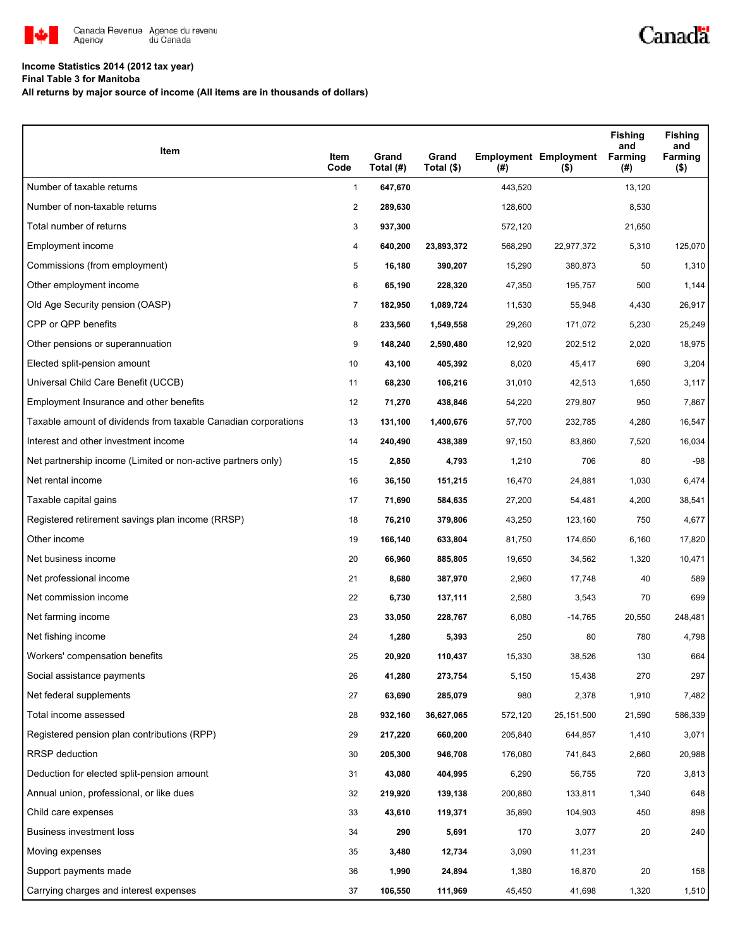

## **Income Statistics 2014 (2012 tax year)**

**Final Table 3 for Manitoba**

**All returns by major source of income (All items are in thousands of dollars)**

| Item                                                           | Item<br>Code   | Grand<br>Total (#) | Grand<br>Total (\$) | (#)     | <b>Employment Employment</b><br>$($ \$) | <b>Fishing</b><br>and<br><b>Farming</b><br>(#) | <b>Fishing</b><br>and<br>Farming<br>$($ \$) |
|----------------------------------------------------------------|----------------|--------------------|---------------------|---------|-----------------------------------------|------------------------------------------------|---------------------------------------------|
| Number of taxable returns                                      | $\mathbf{1}$   | 647,670            |                     | 443,520 |                                         | 13,120                                         |                                             |
| Number of non-taxable returns                                  | $\overline{2}$ | 289,630            |                     | 128,600 |                                         | 8,530                                          |                                             |
| Total number of returns                                        | 3              | 937,300            |                     | 572,120 |                                         | 21,650                                         |                                             |
| Employment income                                              | 4              | 640,200            | 23,893,372          | 568,290 | 22,977,372                              | 5,310                                          | 125,070                                     |
| Commissions (from employment)                                  | 5              | 16,180             | 390,207             | 15,290  | 380,873                                 | 50                                             | 1,310                                       |
| Other employment income                                        | 6              | 65,190             | 228,320             | 47,350  | 195,757                                 | 500                                            | 1,144                                       |
| Old Age Security pension (OASP)                                | $\overline{7}$ | 182,950            | 1,089,724           | 11,530  | 55,948                                  | 4,430                                          | 26,917                                      |
| CPP or QPP benefits                                            | 8              | 233,560            | 1,549,558           | 29,260  | 171,072                                 | 5,230                                          | 25,249                                      |
| Other pensions or superannuation                               | 9              | 148,240            | 2,590,480           | 12,920  | 202,512                                 | 2,020                                          | 18,975                                      |
| Elected split-pension amount                                   | 10             | 43,100             | 405,392             | 8,020   | 45,417                                  | 690                                            | 3,204                                       |
| Universal Child Care Benefit (UCCB)                            | 11             | 68,230             | 106,216             | 31,010  | 42,513                                  | 1,650                                          | 3,117                                       |
| Employment Insurance and other benefits                        | 12             | 71,270             | 438,846             | 54,220  | 279,807                                 | 950                                            | 7,867                                       |
| Taxable amount of dividends from taxable Canadian corporations | 13             | 131,100            | 1,400,676           | 57,700  | 232,785                                 | 4,280                                          | 16,547                                      |
| Interest and other investment income                           | 14             | 240,490            | 438,389             | 97,150  | 83,860                                  | 7,520                                          | 16,034                                      |
| Net partnership income (Limited or non-active partners only)   | 15             | 2,850              | 4,793               | 1,210   | 706                                     | 80                                             | $-98$                                       |
| Net rental income                                              | 16             | 36,150             | 151,215             | 16,470  | 24,881                                  | 1,030                                          | 6,474                                       |
| Taxable capital gains                                          | 17             | 71,690             | 584,635             | 27,200  | 54,481                                  | 4,200                                          | 38,541                                      |
| Registered retirement savings plan income (RRSP)               | 18             | 76,210             | 379,806             | 43,250  | 123,160                                 | 750                                            | 4,677                                       |
| Other income                                                   | 19             | 166,140            | 633,804             | 81,750  | 174,650                                 | 6,160                                          | 17,820                                      |
| Net business income                                            | 20             | 66,960             | 885,805             | 19,650  | 34,562                                  | 1,320                                          | 10,471                                      |
| Net professional income                                        | 21             | 8,680              | 387,970             | 2,960   | 17,748                                  | 40                                             | 589                                         |
| Net commission income                                          | 22             | 6,730              | 137,111             | 2,580   | 3,543                                   | 70                                             | 699                                         |
| Net farming income                                             | 23             | 33,050             | 228,767             | 6,080   | $-14,765$                               | 20,550                                         | 248,481                                     |
| Net fishing income                                             | 24             | 1,280              | 5,393               | 250     | 80                                      | 780                                            | 4,798                                       |
| Workers' compensation benefits                                 | 25             | 20,920             | 110,437             | 15,330  | 38,526                                  | 130                                            | 664                                         |
| Social assistance payments                                     | 26             | 41,280             | 273,754             | 5,150   | 15,438                                  | 270                                            | 297                                         |
| Net federal supplements                                        | 27             | 63,690             | 285,079             | 980     | 2,378                                   | 1,910                                          | 7,482                                       |
| Total income assessed                                          | 28             | 932,160            | 36,627,065          | 572,120 | 25,151,500                              | 21,590                                         | 586,339                                     |
| Registered pension plan contributions (RPP)                    | 29             | 217,220            | 660,200             | 205,840 | 644,857                                 | 1,410                                          | 3,071                                       |
| RRSP deduction                                                 | 30             | 205,300            | 946,708             | 176,080 | 741,643                                 | 2,660                                          | 20,988                                      |
| Deduction for elected split-pension amount                     | 31             | 43,080             | 404,995             | 6,290   | 56,755                                  | 720                                            | 3,813                                       |
| Annual union, professional, or like dues                       | 32             | 219,920            | 139,138             | 200,880 | 133,811                                 | 1,340                                          | 648                                         |
| Child care expenses                                            | 33             | 43,610             | 119,371             | 35,890  | 104,903                                 | 450                                            | 898                                         |
| Business investment loss                                       | 34             | 290                | 5,691               | 170     | 3,077                                   | 20                                             | 240                                         |
| Moving expenses                                                | 35             | 3,480              | 12,734              | 3,090   | 11,231                                  |                                                |                                             |
| Support payments made                                          | 36             | 1,990              | 24,894              | 1,380   | 16,870                                  | 20                                             | 158                                         |
| Carrying charges and interest expenses                         | 37             | 106,550            | 111,969             | 45,450  | 41,698                                  | 1,320                                          | 1,510                                       |

Canadä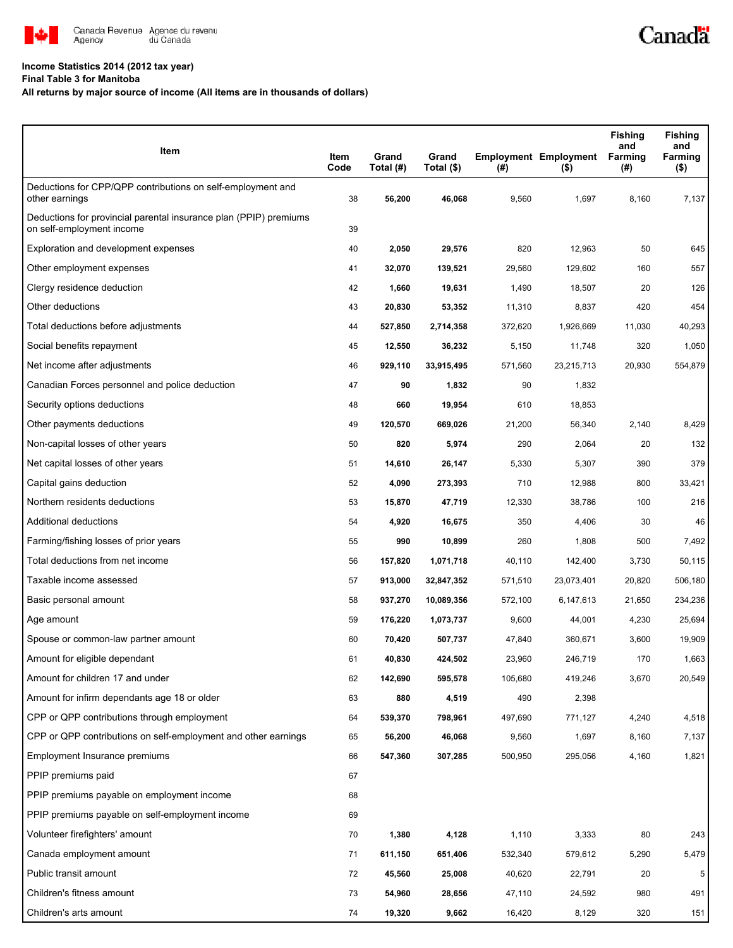

## **Income Statistics 2014 (2012 tax year)**

**Final Table 3 for Manitoba**

## **All returns by major source of income (All items are in thousands of dollars)**

| Item                                                                                           | Item<br>Code | Grand<br>Total (#) | Grand<br>Total (\$) | $($ #)  | <b>Employment Employment</b><br>(5) | <b>Fishing</b><br>and<br>Farming<br>(#) | <b>Fishing</b><br>and<br>Farming<br>$($ \$) |
|------------------------------------------------------------------------------------------------|--------------|--------------------|---------------------|---------|-------------------------------------|-----------------------------------------|---------------------------------------------|
| Deductions for CPP/QPP contributions on self-employment and<br>other earnings                  | 38           | 56,200             | 46,068              | 9,560   | 1,697                               | 8,160                                   | 7,137                                       |
| Deductions for provincial parental insurance plan (PPIP) premiums<br>on self-employment income | 39           |                    |                     |         |                                     |                                         |                                             |
| Exploration and development expenses                                                           | 40           | 2,050              | 29,576              | 820     | 12,963                              | 50                                      | 645                                         |
| Other employment expenses                                                                      | 41           | 32,070             | 139,521             | 29,560  | 129,602                             | 160                                     | 557                                         |
| Clergy residence deduction                                                                     | 42           | 1,660              | 19,631              | 1,490   | 18,507                              | 20                                      | 126                                         |
| Other deductions                                                                               | 43           | 20,830             | 53,352              | 11,310  | 8,837                               | 420                                     | 454                                         |
| Total deductions before adjustments                                                            | 44           | 527,850            | 2,714,358           | 372,620 | 1,926,669                           | 11,030                                  | 40,293                                      |
| Social benefits repayment                                                                      | 45           | 12,550             | 36,232              | 5,150   | 11,748                              | 320                                     | 1,050                                       |
| Net income after adjustments                                                                   | 46           | 929,110            | 33,915,495          | 571,560 | 23,215,713                          | 20,930                                  | 554,879                                     |
| Canadian Forces personnel and police deduction                                                 | 47           | 90                 | 1,832               | 90      | 1,832                               |                                         |                                             |
| Security options deductions                                                                    | 48           | 660                | 19,954              | 610     | 18,853                              |                                         |                                             |
| Other payments deductions                                                                      | 49           | 120,570            | 669,026             | 21,200  | 56,340                              | 2,140                                   | 8,429                                       |
| Non-capital losses of other years                                                              | 50           | 820                | 5,974               | 290     | 2,064                               | 20                                      | 132                                         |
| Net capital losses of other years                                                              | 51           | 14,610             | 26,147              | 5,330   | 5,307                               | 390                                     | 379                                         |
| Capital gains deduction                                                                        | 52           | 4,090              | 273,393             | 710     | 12,988                              | 800                                     | 33,421                                      |
| Northern residents deductions                                                                  | 53           | 15,870             | 47,719              | 12,330  | 38,786                              | 100                                     | 216                                         |
| Additional deductions                                                                          | 54           | 4,920              | 16,675              | 350     | 4,406                               | 30                                      | 46                                          |
| Farming/fishing losses of prior years                                                          | 55           | 990                | 10,899              | 260     | 1,808                               | 500                                     | 7,492                                       |
| Total deductions from net income                                                               | 56           | 157,820            | 1,071,718           | 40,110  | 142,400                             | 3,730                                   | 50,115                                      |
| Taxable income assessed                                                                        | 57           | 913,000            | 32,847,352          | 571,510 | 23,073,401                          | 20,820                                  | 506,180                                     |
| Basic personal amount                                                                          | 58           | 937,270            | 10,089,356          | 572,100 | 6,147,613                           | 21,650                                  | 234,236                                     |
| Age amount                                                                                     | 59           | 176,220            | 1,073,737           | 9,600   | 44,001                              | 4,230                                   | 25,694                                      |
| Spouse or common-law partner amount                                                            | 60           | 70,420             | 507,737             | 47,840  | 360,671                             | 3,600                                   | 19,909                                      |
| Amount for eligible dependant                                                                  | 61           | 40,830             | 424,502             | 23,960  | 246,719                             | 170                                     | 1,663                                       |
| Amount for children 17 and under                                                               | 62           | 142,690            | 595,578             | 105,680 | 419,246                             | 3,670                                   | 20,549                                      |
| Amount for infirm dependants age 18 or older                                                   | 63           | 880                | 4,519               | 490     | 2,398                               |                                         |                                             |
| CPP or QPP contributions through employment                                                    | 64           | 539,370            | 798,961             | 497,690 | 771,127                             | 4,240                                   | 4,518                                       |
| CPP or QPP contributions on self-employment and other earnings                                 | 65           | 56,200             | 46,068              | 9,560   | 1,697                               | 8,160                                   | 7,137                                       |
| Employment Insurance premiums                                                                  | 66           | 547,360            | 307,285             | 500,950 | 295,056                             | 4,160                                   | 1,821                                       |
| PPIP premiums paid                                                                             | 67           |                    |                     |         |                                     |                                         |                                             |
| PPIP premiums payable on employment income                                                     | 68           |                    |                     |         |                                     |                                         |                                             |
| PPIP premiums payable on self-employment income                                                | 69           |                    |                     |         |                                     |                                         |                                             |
| Volunteer firefighters' amount                                                                 | 70           | 1,380              | 4,128               | 1,110   | 3,333                               | 80                                      | 243                                         |
| Canada employment amount                                                                       | 71           | 611,150            | 651,406             | 532,340 | 579,612                             | 5,290                                   | 5,479                                       |
| Public transit amount                                                                          | 72           | 45,560             | 25,008              | 40,620  | 22,791                              | 20                                      | 5                                           |
| Children's fitness amount                                                                      | 73           | 54,960             | 28,656              | 47,110  | 24,592                              | 980                                     | 491                                         |
| Children's arts amount                                                                         | 74           | 19,320             | 9,662               | 16,420  | 8,129                               | 320                                     | 151                                         |

Canadä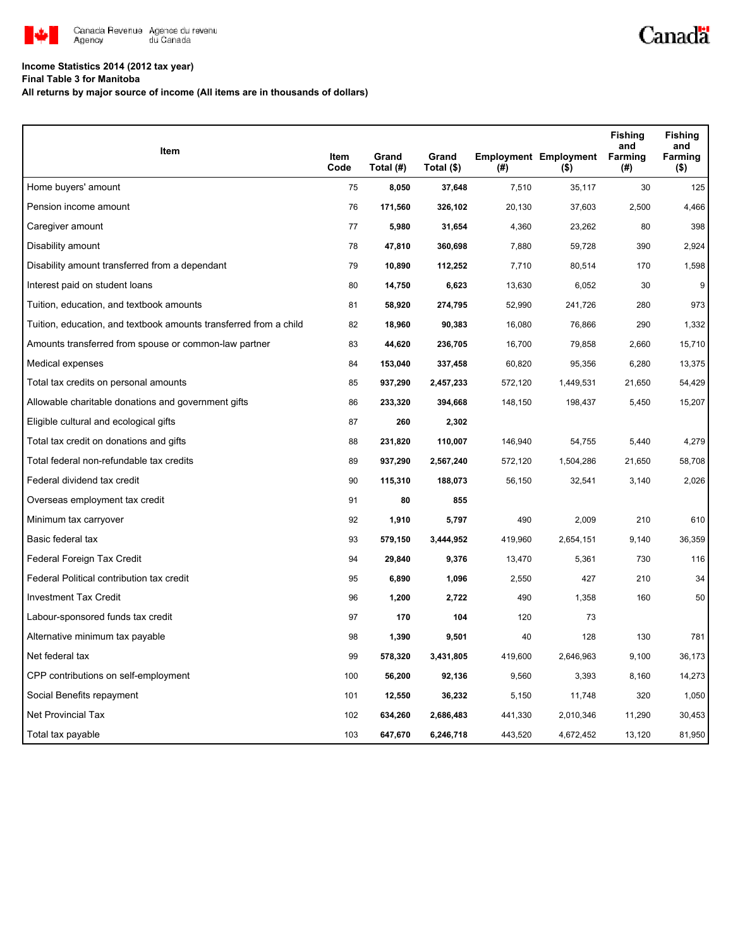

## **Income Statistics 2014 (2012 tax year)**

**Final Table 3 for Manitoba**

**All returns by major source of income (All items are in thousands of dollars)**

| Item                                                              |              |                    |                     |         |                                         | <b>Fishing</b><br>and | <b>Fishing</b><br>and |
|-------------------------------------------------------------------|--------------|--------------------|---------------------|---------|-----------------------------------------|-----------------------|-----------------------|
|                                                                   | Item<br>Code | Grand<br>Total (#) | Grand<br>Total (\$) | (#)     | <b>Employment Employment</b><br>$($ \$) | Farming<br>(#)        | Farming<br>$($ \$)    |
| Home buyers' amount                                               | 75           | 8,050              | 37,648              | 7,510   | 35,117                                  | 30                    | 125                   |
| Pension income amount                                             | 76           | 171,560            | 326,102             | 20,130  | 37,603                                  | 2,500                 | 4,466                 |
| Caregiver amount                                                  | 77           | 5,980              | 31,654              | 4,360   | 23,262                                  | 80                    | 398                   |
| Disability amount                                                 | 78           | 47,810             | 360,698             | 7,880   | 59,728                                  | 390                   | 2,924                 |
| Disability amount transferred from a dependant                    | 79           | 10,890             | 112,252             | 7,710   | 80,514                                  | 170                   | 1,598                 |
| Interest paid on student loans                                    | 80           | 14,750             | 6,623               | 13,630  | 6,052                                   | 30                    | 9                     |
| Tuition, education, and textbook amounts                          | 81           | 58,920             | 274,795             | 52,990  | 241,726                                 | 280                   | 973                   |
| Tuition, education, and textbook amounts transferred from a child | 82           | 18,960             | 90,383              | 16,080  | 76,866                                  | 290                   | 1,332                 |
| Amounts transferred from spouse or common-law partner             | 83           | 44,620             | 236,705             | 16,700  | 79,858                                  | 2,660                 | 15,710                |
| Medical expenses                                                  | 84           | 153,040            | 337,458             | 60,820  | 95,356                                  | 6,280                 | 13,375                |
| Total tax credits on personal amounts                             | 85           | 937,290            | 2,457,233           | 572,120 | 1,449,531                               | 21,650                | 54,429                |
| Allowable charitable donations and government gifts               | 86           | 233,320            | 394,668             | 148,150 | 198,437                                 | 5,450                 | 15,207                |
| Eligible cultural and ecological gifts                            | 87           | 260                | 2,302               |         |                                         |                       |                       |
| Total tax credit on donations and gifts                           | 88           | 231,820            | 110,007             | 146,940 | 54,755                                  | 5,440                 | 4,279                 |
| Total federal non-refundable tax credits                          | 89           | 937,290            | 2,567,240           | 572,120 | 1,504,286                               | 21,650                | 58,708                |
| Federal dividend tax credit                                       | 90           | 115,310            | 188,073             | 56,150  | 32,541                                  | 3,140                 | 2,026                 |
| Overseas employment tax credit                                    | 91           | 80                 | 855                 |         |                                         |                       |                       |
| Minimum tax carryover                                             | 92           | 1,910              | 5,797               | 490     | 2,009                                   | 210                   | 610                   |
| Basic federal tax                                                 | 93           | 579,150            | 3,444,952           | 419,960 | 2,654,151                               | 9,140                 | 36,359                |
| Federal Foreign Tax Credit                                        | 94           | 29,840             | 9,376               | 13,470  | 5,361                                   | 730                   | 116                   |
| Federal Political contribution tax credit                         | 95           | 6,890              | 1,096               | 2,550   | 427                                     | 210                   | 34                    |
| <b>Investment Tax Credit</b>                                      | 96           | 1,200              | 2,722               | 490     | 1,358                                   | 160                   | 50                    |
| Labour-sponsored funds tax credit                                 | 97           | 170                | 104                 | 120     | 73                                      |                       |                       |
| Alternative minimum tax payable                                   | 98           | 1,390              | 9,501               | 40      | 128                                     | 130                   | 781                   |
| Net federal tax                                                   | 99           | 578,320            | 3,431,805           | 419,600 | 2,646,963                               | 9,100                 | 36,173                |
| CPP contributions on self-employment                              | 100          | 56,200             | 92,136              | 9,560   | 3,393                                   | 8,160                 | 14,273                |
| Social Benefits repayment                                         | 101          | 12,550             | 36,232              | 5,150   | 11,748                                  | 320                   | 1,050                 |
| <b>Net Provincial Tax</b>                                         | 102          | 634,260            | 2,686,483           | 441,330 | 2,010,346                               | 11,290                | 30,453                |
| Total tax payable                                                 | 103          | 647,670            | 6,246,718           | 443,520 | 4,672,452                               | 13,120                | 81,950                |

Canadä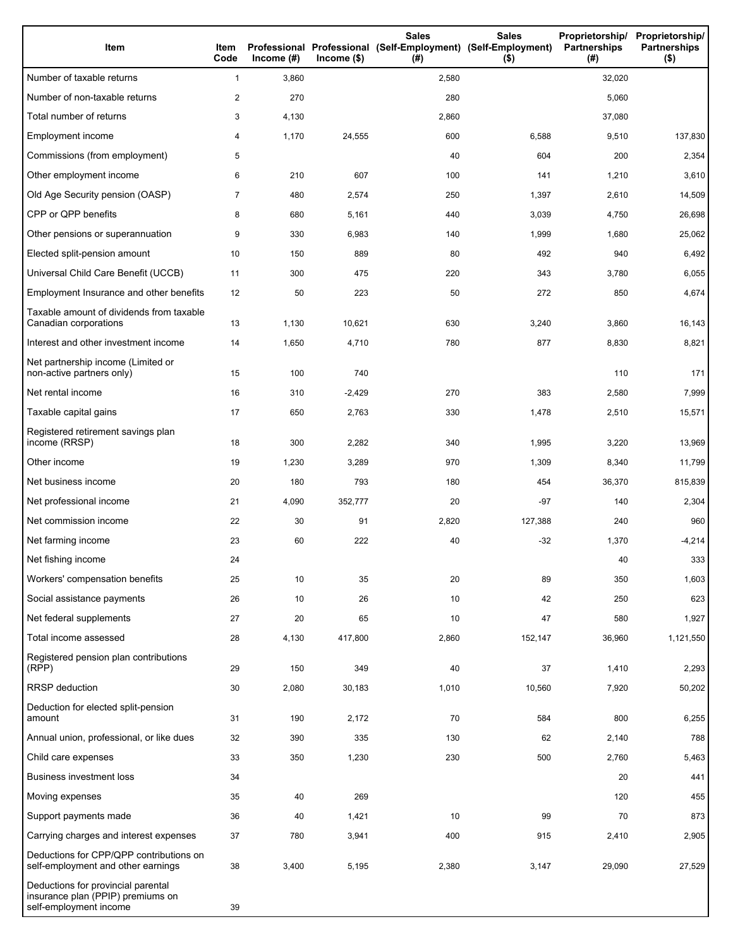| Item                                                                                              | Item<br>Code   | Income $(\#)$ | $Income$ (\$) | <b>Sales</b><br>Professional Professional (Self-Employment) (Self-Employment)<br>(#) | <b>Sales</b><br>$($ \$) | Proprietorship/<br><b>Partnerships</b><br>(# ) | Proprietorship/<br><b>Partnerships</b><br>$($ \$) |
|---------------------------------------------------------------------------------------------------|----------------|---------------|---------------|--------------------------------------------------------------------------------------|-------------------------|------------------------------------------------|---------------------------------------------------|
| Number of taxable returns                                                                         | $\mathbf{1}$   | 3,860         |               | 2,580                                                                                |                         | 32,020                                         |                                                   |
| Number of non-taxable returns                                                                     | $\overline{c}$ | 270           |               | 280                                                                                  |                         | 5,060                                          |                                                   |
| Total number of returns                                                                           | 3              | 4,130         |               | 2,860                                                                                |                         | 37,080                                         |                                                   |
| Employment income                                                                                 | 4              | 1,170         | 24,555        | 600                                                                                  | 6,588                   | 9,510                                          | 137,830                                           |
| Commissions (from employment)                                                                     | 5              |               |               | 40                                                                                   | 604                     | 200                                            | 2,354                                             |
| Other employment income                                                                           | 6              | 210           | 607           | 100                                                                                  | 141                     | 1,210                                          | 3,610                                             |
| Old Age Security pension (OASP)                                                                   | $\overline{7}$ | 480           | 2,574         | 250                                                                                  | 1,397                   | 2,610                                          | 14,509                                            |
| CPP or QPP benefits                                                                               | 8              | 680           | 5,161         | 440                                                                                  | 3,039                   | 4,750                                          | 26,698                                            |
| Other pensions or superannuation                                                                  | 9              | 330           | 6,983         | 140                                                                                  | 1,999                   | 1,680                                          | 25,062                                            |
| Elected split-pension amount                                                                      | 10             | 150           | 889           | 80                                                                                   | 492                     | 940                                            | 6,492                                             |
| Universal Child Care Benefit (UCCB)                                                               | 11             | 300           | 475           | 220                                                                                  | 343                     | 3,780                                          | 6,055                                             |
| Employment Insurance and other benefits                                                           | 12             | 50            | 223           | 50                                                                                   | 272                     | 850                                            | 4,674                                             |
| Taxable amount of dividends from taxable<br>Canadian corporations                                 | 13             | 1,130         | 10,621        | 630                                                                                  | 3,240                   | 3,860                                          | 16,143                                            |
| Interest and other investment income                                                              | 14             | 1,650         | 4,710         | 780                                                                                  | 877                     | 8,830                                          | 8,821                                             |
| Net partnership income (Limited or<br>non-active partners only)                                   | 15             | 100           | 740           |                                                                                      |                         | 110                                            | 171                                               |
| Net rental income                                                                                 | 16             | 310           | $-2,429$      | 270                                                                                  | 383                     | 2,580                                          | 7,999                                             |
| Taxable capital gains                                                                             | 17             | 650           | 2,763         | 330                                                                                  | 1,478                   | 2,510                                          | 15,571                                            |
| Registered retirement savings plan<br>income (RRSP)                                               | 18             | 300           | 2,282         | 340                                                                                  | 1,995                   | 3,220                                          | 13,969                                            |
| Other income                                                                                      | 19             | 1,230         | 3,289         | 970                                                                                  | 1,309                   | 8,340                                          | 11,799                                            |
| Net business income                                                                               | 20             | 180           | 793           | 180                                                                                  | 454                     | 36,370                                         | 815,839                                           |
| Net professional income                                                                           | 21             | 4,090         | 352,777       | 20                                                                                   | -97                     | 140                                            | 2,304                                             |
| Net commission income                                                                             | 22             | 30            | 91            | 2,820                                                                                | 127,388                 | 240                                            | 960                                               |
| Net farming income                                                                                | 23             | 60            | 222           | 40                                                                                   | $-32$                   | 1,370                                          | $-4,214$                                          |
| Net fishing income                                                                                | 24             |               |               |                                                                                      |                         | 40                                             | 333                                               |
| Workers' compensation benefits                                                                    | 25             | 10            | 35            | 20                                                                                   | 89                      | 350                                            | 1,603                                             |
| Social assistance payments                                                                        | 26             | 10            | 26            | 10                                                                                   | 42                      | 250                                            | 623                                               |
| Net federal supplements                                                                           | 27             | 20            | 65            | 10                                                                                   | 47                      | 580                                            | 1,927                                             |
| Total income assessed                                                                             | 28             | 4,130         | 417,800       | 2,860                                                                                | 152,147                 | 36,960                                         | 1,121,550                                         |
| Registered pension plan contributions<br>(RPP)                                                    | 29             | 150           | 349           | 40                                                                                   | 37                      | 1,410                                          | 2,293                                             |
| RRSP deduction                                                                                    | 30             | 2,080         | 30,183        | 1,010                                                                                | 10,560                  | 7,920                                          | 50,202                                            |
| Deduction for elected split-pension<br>amount                                                     | 31             | 190           | 2,172         | 70                                                                                   | 584                     | 800                                            | 6,255                                             |
| Annual union, professional, or like dues                                                          | 32             | 390           | 335           | 130                                                                                  | 62                      | 2,140                                          | 788                                               |
| Child care expenses                                                                               | 33             | 350           | 1,230         | 230                                                                                  | 500                     | 2,760                                          | 5,463                                             |
| <b>Business investment loss</b>                                                                   | 34             |               |               |                                                                                      |                         | 20                                             | 441                                               |
| Moving expenses                                                                                   | 35             | 40            | 269           |                                                                                      |                         | 120                                            | 455                                               |
| Support payments made                                                                             | 36             | 40            | 1,421         | 10                                                                                   | 99                      | 70                                             | 873                                               |
| Carrying charges and interest expenses                                                            | 37             | 780           | 3,941         | 400                                                                                  | 915                     | 2,410                                          | 2,905                                             |
| Deductions for CPP/QPP contributions on<br>self-employment and other earnings                     | 38             | 3,400         | 5,195         | 2,380                                                                                | 3,147                   | 29,090                                         | 27,529                                            |
| Deductions for provincial parental<br>insurance plan (PPIP) premiums on<br>self-employment income | 39             |               |               |                                                                                      |                         |                                                |                                                   |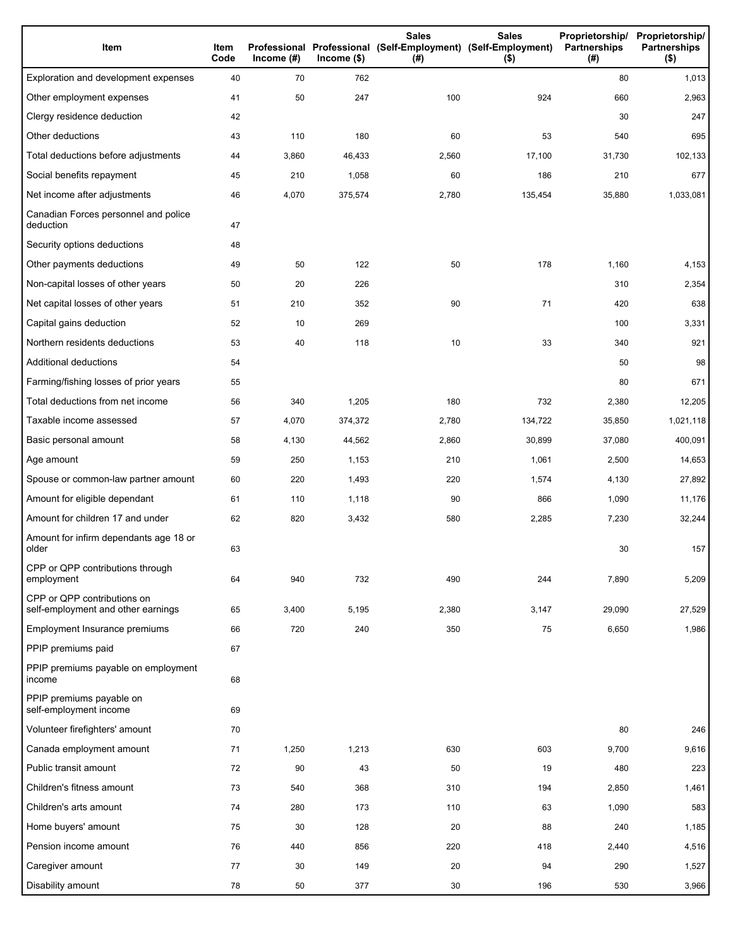| Item                                                              | Item<br>Code | Income $(\#)$ | $lncome$ (\$) | <b>Sales</b><br>Professional Professional (Self-Employment) (Self-Employment)<br>(#) | <b>Sales</b><br>$($ \$) | <b>Partnerships</b><br>(#) | Proprietorship/ Proprietorship/<br><b>Partnerships</b><br>$($ \$) |
|-------------------------------------------------------------------|--------------|---------------|---------------|--------------------------------------------------------------------------------------|-------------------------|----------------------------|-------------------------------------------------------------------|
| Exploration and development expenses                              | 40           | 70            | 762           |                                                                                      |                         | 80                         | 1,013                                                             |
| Other employment expenses                                         | 41           | 50            | 247           | 100                                                                                  | 924                     | 660                        | 2,963                                                             |
| Clergy residence deduction                                        | 42           |               |               |                                                                                      |                         | 30                         | 247                                                               |
| Other deductions                                                  | 43           | 110           | 180           | 60                                                                                   | 53                      | 540                        | 695                                                               |
| Total deductions before adjustments                               | 44           | 3,860         | 46,433        | 2,560                                                                                | 17,100                  | 31,730                     | 102,133                                                           |
| Social benefits repayment                                         | 45           | 210           | 1,058         | 60                                                                                   | 186                     | 210                        | 677                                                               |
| Net income after adjustments                                      | 46           | 4,070         | 375,574       | 2,780                                                                                | 135,454                 | 35,880                     | 1,033,081                                                         |
| Canadian Forces personnel and police<br>deduction                 | 47           |               |               |                                                                                      |                         |                            |                                                                   |
| Security options deductions                                       | 48           |               |               |                                                                                      |                         |                            |                                                                   |
| Other payments deductions                                         | 49           | 50            | 122           | 50                                                                                   | 178                     | 1,160                      | 4,153                                                             |
| Non-capital losses of other years                                 | 50           | 20            | 226           |                                                                                      |                         | 310                        | 2,354                                                             |
| Net capital losses of other years                                 | 51           | 210           | 352           | 90                                                                                   | 71                      | 420                        | 638                                                               |
| Capital gains deduction                                           | 52           | 10            | 269           |                                                                                      |                         | 100                        | 3,331                                                             |
| Northern residents deductions                                     | 53           | 40            | 118           | 10                                                                                   | 33                      | 340                        | 921                                                               |
| Additional deductions                                             | 54           |               |               |                                                                                      |                         | 50                         | 98                                                                |
| Farming/fishing losses of prior years                             | 55           |               |               |                                                                                      |                         | 80                         | 671                                                               |
| Total deductions from net income                                  | 56           | 340           | 1,205         | 180                                                                                  | 732                     | 2,380                      | 12,205                                                            |
| Taxable income assessed                                           | 57           | 4,070         | 374,372       | 2,780                                                                                | 134,722                 | 35,850                     | 1,021,118                                                         |
| Basic personal amount                                             | 58           | 4,130         | 44,562        | 2,860                                                                                | 30,899                  | 37,080                     | 400,091                                                           |
| Age amount                                                        | 59           | 250           | 1,153         | 210                                                                                  | 1,061                   | 2,500                      | 14,653                                                            |
| Spouse or common-law partner amount                               | 60           | 220           | 1,493         | 220                                                                                  | 1,574                   | 4,130                      | 27,892                                                            |
| Amount for eligible dependant                                     | 61           | 110           | 1,118         | 90                                                                                   | 866                     | 1,090                      | 11,176                                                            |
| Amount for children 17 and under                                  | 62           | 820           | 3,432         | 580                                                                                  | 2,285                   | 7,230                      | 32,244                                                            |
| Amount for infirm dependants age 18 or<br>older                   | 63           |               |               |                                                                                      |                         | 30                         | 157                                                               |
| CPP or QPP contributions through<br>employment                    | 64           | 940           | 732           | 490                                                                                  | 244                     | 7,890                      | 5,209                                                             |
| CPP or QPP contributions on<br>self-employment and other earnings | 65           | 3,400         | 5,195         | 2,380                                                                                | 3,147                   | 29,090                     | 27,529                                                            |
| Employment Insurance premiums                                     | 66           | 720           | 240           | 350                                                                                  | 75                      | 6,650                      | 1,986                                                             |
| PPIP premiums paid                                                | 67           |               |               |                                                                                      |                         |                            |                                                                   |
| PPIP premiums payable on employment<br>income                     | 68           |               |               |                                                                                      |                         |                            |                                                                   |
| PPIP premiums payable on<br>self-employment income                | 69           |               |               |                                                                                      |                         |                            |                                                                   |
| Volunteer firefighters' amount                                    | 70           |               |               |                                                                                      |                         | 80                         | 246                                                               |
| Canada employment amount                                          | 71           | 1,250         | 1,213         | 630                                                                                  | 603                     | 9,700                      | 9,616                                                             |
| Public transit amount                                             | 72           | 90            | 43            | 50                                                                                   | 19                      | 480                        | 223                                                               |
| Children's fitness amount                                         | 73           | 540           | 368           | 310                                                                                  | 194                     | 2,850                      | 1,461                                                             |
| Children's arts amount                                            | 74           | 280           | 173           | 110                                                                                  | 63                      | 1,090                      | 583                                                               |
| Home buyers' amount                                               | 75           | 30            | 128           | 20                                                                                   | 88                      | 240                        | 1,185                                                             |
| Pension income amount                                             | 76           | 440           | 856           | 220                                                                                  | 418                     | 2,440                      | 4,516                                                             |
| Caregiver amount                                                  | 77           | 30            | 149           | 20                                                                                   | 94                      | 290                        | 1,527                                                             |
| Disability amount                                                 | 78           | 50            | 377           | 30                                                                                   | 196                     | 530                        | 3,966                                                             |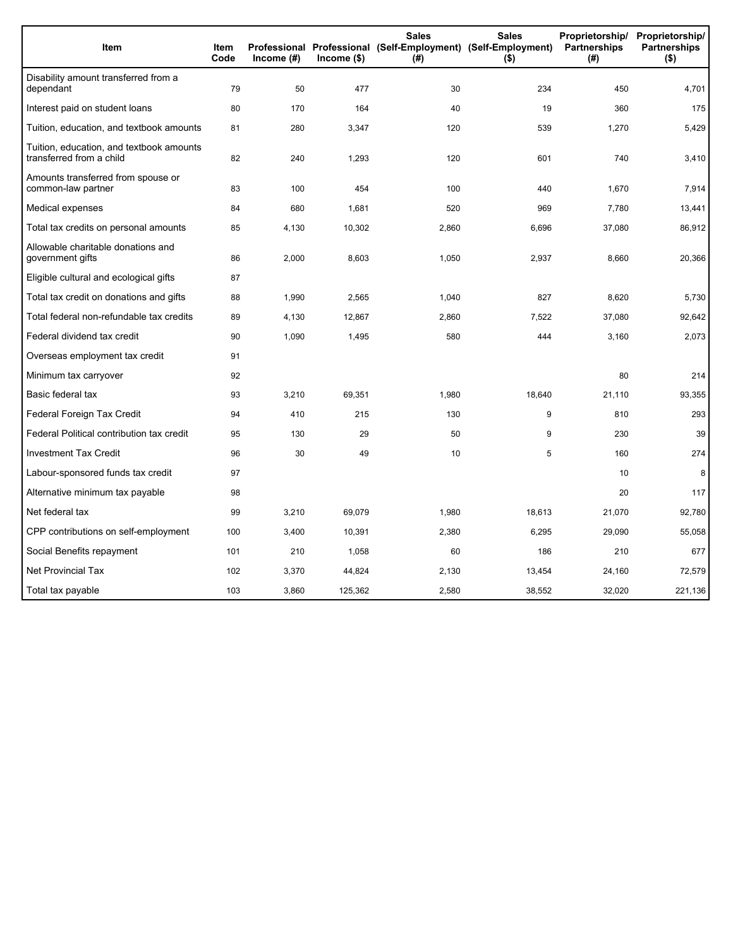| Item                                                                 | <b>Item</b><br>Code | Income (#) | $lncome$ (\$) | <b>Sales</b><br>Professional Professional (Self-Employment) (Self-Employment)<br>(# ) | <b>Sales</b><br>$($ \$) | Proprietorship/<br>Partnerships<br>(#) | Proprietorship/<br><b>Partnerships</b><br>$($ \$) |
|----------------------------------------------------------------------|---------------------|------------|---------------|---------------------------------------------------------------------------------------|-------------------------|----------------------------------------|---------------------------------------------------|
| Disability amount transferred from a<br>dependant                    | 79                  | 50         | 477           | 30                                                                                    | 234                     | 450                                    | 4,701                                             |
| Interest paid on student loans                                       | 80                  | 170        | 164           | 40                                                                                    | 19                      | 360                                    | 175                                               |
| Tuition, education, and textbook amounts                             | 81                  | 280        | 3,347         | 120                                                                                   | 539                     | 1,270                                  | 5,429                                             |
| Tuition, education, and textbook amounts<br>transferred from a child | 82                  | 240        | 1,293         | 120                                                                                   | 601                     | 740                                    | 3,410                                             |
| Amounts transferred from spouse or<br>common-law partner             | 83                  | 100        | 454           | 100                                                                                   | 440                     | 1,670                                  | 7,914                                             |
| Medical expenses                                                     | 84                  | 680        | 1,681         | 520                                                                                   | 969                     | 7,780                                  | 13,441                                            |
| Total tax credits on personal amounts                                | 85                  | 4,130      | 10,302        | 2,860                                                                                 | 6,696                   | 37,080                                 | 86,912                                            |
| Allowable charitable donations and<br>government gifts               | 86                  | 2,000      | 8,603         | 1,050                                                                                 | 2,937                   | 8,660                                  | 20,366                                            |
| Eligible cultural and ecological gifts                               | 87                  |            |               |                                                                                       |                         |                                        |                                                   |
| Total tax credit on donations and gifts                              | 88                  | 1,990      | 2.565         | 1,040                                                                                 | 827                     | 8,620                                  | 5,730                                             |
| Total federal non-refundable tax credits                             | 89                  | 4,130      | 12,867        | 2,860                                                                                 | 7,522                   | 37,080                                 | 92,642                                            |
| Federal dividend tax credit                                          | 90                  | 1,090      | 1,495         | 580                                                                                   | 444                     | 3,160                                  | 2,073                                             |
| Overseas employment tax credit                                       | 91                  |            |               |                                                                                       |                         |                                        |                                                   |
| Minimum tax carryover                                                | 92                  |            |               |                                                                                       |                         | 80                                     | 214                                               |
| Basic federal tax                                                    | 93                  | 3,210      | 69,351        | 1,980                                                                                 | 18,640                  | 21,110                                 | 93,355                                            |
| Federal Foreign Tax Credit                                           | 94                  | 410        | 215           | 130                                                                                   | 9                       | 810                                    | 293                                               |
| Federal Political contribution tax credit                            | 95                  | 130        | 29            | 50                                                                                    | 9                       | 230                                    | 39                                                |
| <b>Investment Tax Credit</b>                                         | 96                  | 30         | 49            | 10                                                                                    | 5                       | 160                                    | 274                                               |
| Labour-sponsored funds tax credit                                    | 97                  |            |               |                                                                                       |                         | 10                                     | 8                                                 |
| Alternative minimum tax payable                                      | 98                  |            |               |                                                                                       |                         | 20                                     | 117                                               |
| Net federal tax                                                      | 99                  | 3,210      | 69,079        | 1,980                                                                                 | 18,613                  | 21,070                                 | 92,780                                            |
| CPP contributions on self-employment                                 | 100                 | 3,400      | 10,391        | 2,380                                                                                 | 6,295                   | 29,090                                 | 55,058                                            |
| Social Benefits repayment                                            | 101                 | 210        | 1,058         | 60                                                                                    | 186                     | 210                                    | 677                                               |
| <b>Net Provincial Tax</b>                                            | 102                 | 3,370      | 44,824        | 2,130                                                                                 | 13,454                  | 24,160                                 | 72,579                                            |
| Total tax payable                                                    | 103                 | 3,860      | 125,362       | 2,580                                                                                 | 38,552                  | 32,020                                 | 221,136                                           |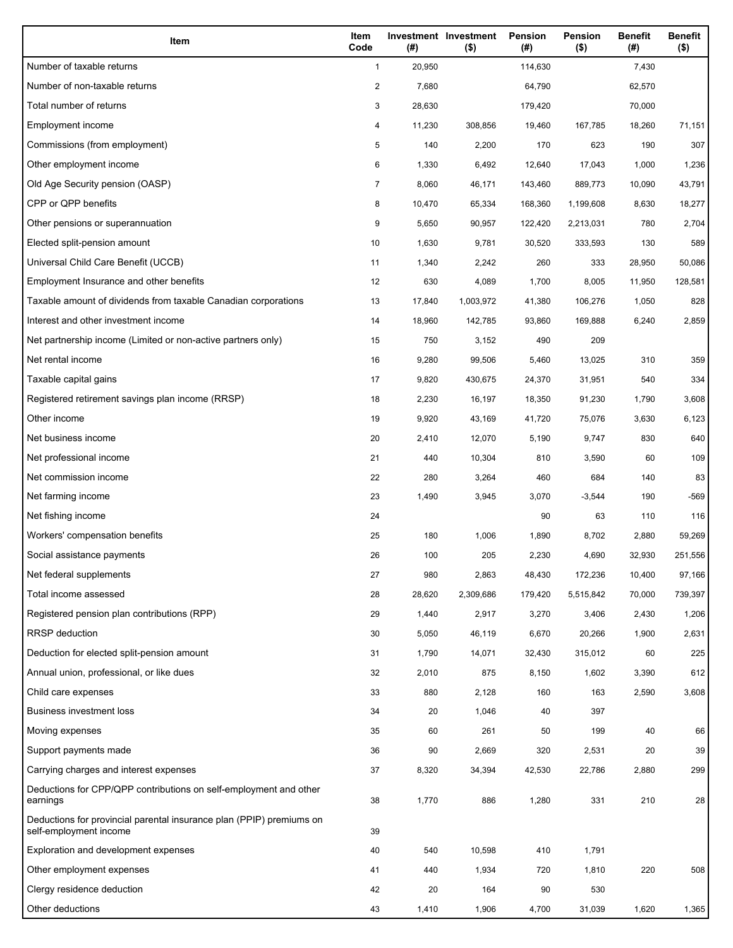| Item                                                                                           | Item<br>Code   | (# )   | Investment Investment<br>$($ \$) | Pension<br>(#) | Pension<br>$($ \$) | <b>Benefit</b><br>(#) | <b>Benefit</b><br>$($ \$) |
|------------------------------------------------------------------------------------------------|----------------|--------|----------------------------------|----------------|--------------------|-----------------------|---------------------------|
| Number of taxable returns                                                                      | $\mathbf{1}$   | 20,950 |                                  | 114,630        |                    | 7,430                 |                           |
| Number of non-taxable returns                                                                  | $\overline{c}$ | 7,680  |                                  | 64,790         |                    | 62,570                |                           |
| Total number of returns                                                                        | 3              | 28,630 |                                  | 179,420        |                    | 70,000                |                           |
| Employment income                                                                              | 4              | 11,230 | 308,856                          | 19,460         | 167,785            | 18,260                | 71,151                    |
| Commissions (from employment)                                                                  | 5              | 140    | 2,200                            | 170            | 623                | 190                   | 307                       |
| Other employment income                                                                        | 6              | 1,330  | 6,492                            | 12,640         | 17,043             | 1,000                 | 1,236                     |
| Old Age Security pension (OASP)                                                                | 7              | 8,060  | 46,171                           | 143,460        | 889,773            | 10,090                | 43,791                    |
| CPP or QPP benefits                                                                            | 8              | 10,470 | 65,334                           | 168,360        | 1,199,608          | 8,630                 | 18,277                    |
| Other pensions or superannuation                                                               | 9              | 5,650  | 90,957                           | 122,420        | 2,213,031          | 780                   | 2,704                     |
| Elected split-pension amount                                                                   | 10             | 1,630  | 9,781                            | 30,520         | 333,593            | 130                   | 589                       |
| Universal Child Care Benefit (UCCB)                                                            | 11             | 1,340  | 2,242                            | 260            | 333                | 28,950                | 50,086                    |
| Employment Insurance and other benefits                                                        | 12             | 630    | 4,089                            | 1,700          | 8,005              | 11,950                | 128,581                   |
| Taxable amount of dividends from taxable Canadian corporations                                 | 13             | 17,840 | 1,003,972                        | 41,380         | 106,276            | 1,050                 | 828                       |
| Interest and other investment income                                                           | 14             | 18,960 | 142,785                          | 93,860         | 169,888            | 6,240                 | 2,859                     |
| Net partnership income (Limited or non-active partners only)                                   | 15             | 750    | 3,152                            | 490            | 209                |                       |                           |
| Net rental income                                                                              | 16             | 9,280  | 99,506                           | 5,460          | 13,025             | 310                   | 359                       |
| Taxable capital gains                                                                          | 17             | 9,820  | 430,675                          | 24,370         | 31,951             | 540                   | 334                       |
| Registered retirement savings plan income (RRSP)                                               | 18             | 2,230  | 16,197                           | 18,350         | 91,230             | 1,790                 | 3,608                     |
| Other income                                                                                   | 19             | 9,920  | 43,169                           | 41,720         | 75,076             | 3,630                 | 6,123                     |
| Net business income                                                                            | 20             | 2,410  | 12,070                           | 5,190          | 9,747              | 830                   | 640                       |
| Net professional income                                                                        | 21             | 440    | 10,304                           | 810            | 3,590              | 60                    | 109                       |
| Net commission income                                                                          | 22             | 280    | 3,264                            | 460            | 684                | 140                   | 83                        |
| Net farming income                                                                             | 23             | 1,490  | 3,945                            | 3,070          | $-3,544$           | 190                   | -569                      |
| Net fishing income                                                                             | 24             |        |                                  | 90             | 63                 | 110                   | 116                       |
| Workers' compensation benefits                                                                 | 25             | 180    | 1,006                            | 1,890          | 8,702              | 2,880                 | 59,269                    |
| Social assistance payments                                                                     | 26             | 100    | 205                              | 2,230          | 4,690              | 32,930                | 251,556                   |
| Net federal supplements                                                                        | 27             | 980    | 2,863                            | 48,430         | 172,236            | 10,400                | 97,166                    |
| Total income assessed                                                                          | 28             | 28,620 | 2,309,686                        | 179,420        | 5,515,842          | 70,000                | 739,397                   |
| Registered pension plan contributions (RPP)                                                    | 29             | 1,440  | 2,917                            | 3,270          | 3,406              | 2,430                 | 1,206                     |
| <b>RRSP</b> deduction                                                                          | 30             | 5,050  | 46,119                           | 6,670          | 20,266             | 1,900                 | 2,631                     |
| Deduction for elected split-pension amount                                                     | 31             | 1,790  | 14,071                           | 32,430         | 315,012            | 60                    | 225                       |
| Annual union, professional, or like dues                                                       | 32             | 2,010  | 875                              | 8,150          | 1,602              | 3,390                 | 612                       |
| Child care expenses                                                                            | 33             | 880    | 2,128                            | 160            | 163                | 2,590                 | 3,608                     |
| <b>Business investment loss</b>                                                                | 34             | 20     | 1,046                            | 40             | 397                |                       |                           |
| Moving expenses                                                                                | 35             | 60     | 261                              | 50             | 199                | 40                    | 66                        |
| Support payments made                                                                          | 36             | 90     | 2,669                            | 320            | 2,531              | 20                    | 39                        |
| Carrying charges and interest expenses                                                         | 37             | 8,320  | 34,394                           | 42,530         | 22,786             | 2,880                 | 299                       |
| Deductions for CPP/QPP contributions on self-employment and other<br>earnings                  | 38             | 1,770  | 886                              | 1,280          | 331                | 210                   | 28                        |
| Deductions for provincial parental insurance plan (PPIP) premiums on<br>self-employment income | 39             |        |                                  |                |                    |                       |                           |
| Exploration and development expenses                                                           | 40             | 540    | 10,598                           | 410            | 1,791              |                       |                           |
| Other employment expenses                                                                      | 41             | 440    | 1,934                            | 720            | 1,810              | 220                   | 508                       |
| Clergy residence deduction                                                                     | 42             | 20     | 164                              | 90             | 530                |                       |                           |
| Other deductions                                                                               | 43             | 1,410  | 1,906                            | 4,700          | 31,039             | 1,620                 | 1,365                     |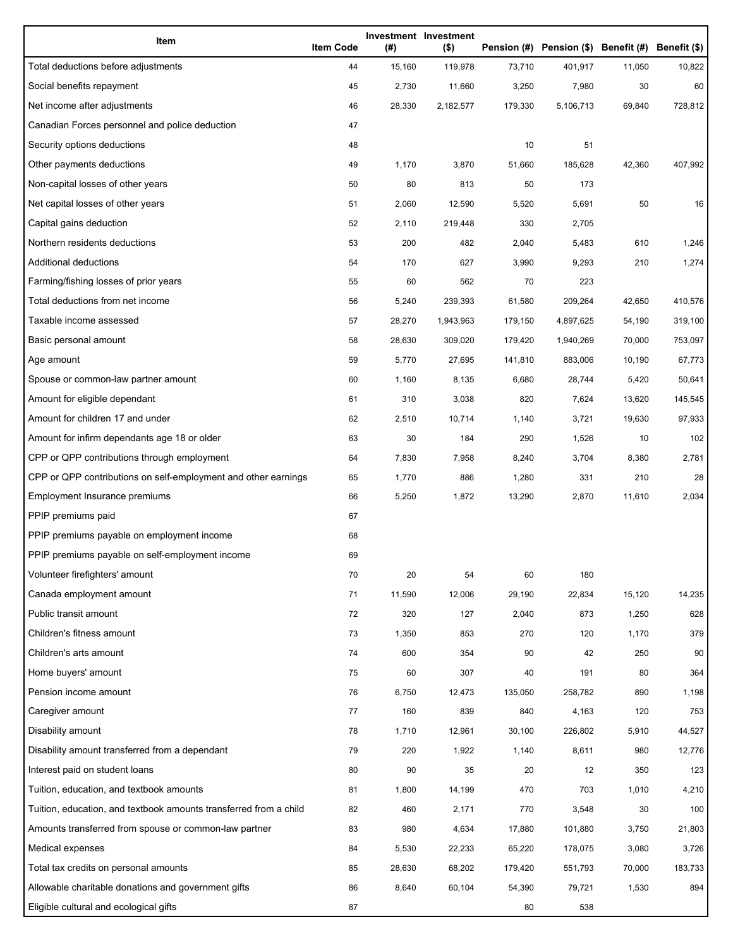| Item                                                              | <b>Item Code</b> | (#)    | Investment Investment<br>$($ \$) |         | Pension (#) Pension (\$) Benefit (#) Benefit (\$) |        |         |
|-------------------------------------------------------------------|------------------|--------|----------------------------------|---------|---------------------------------------------------|--------|---------|
| Total deductions before adjustments                               | 44               | 15,160 | 119,978                          | 73,710  | 401,917                                           | 11,050 | 10,822  |
| Social benefits repayment                                         | 45               | 2,730  | 11,660                           | 3,250   | 7,980                                             | 30     | 60      |
| Net income after adjustments                                      | 46               | 28,330 | 2,182,577                        | 179,330 | 5,106,713                                         | 69,840 | 728,812 |
| Canadian Forces personnel and police deduction                    | 47               |        |                                  |         |                                                   |        |         |
| Security options deductions                                       | 48               |        |                                  | 10      | 51                                                |        |         |
| Other payments deductions                                         | 49               | 1,170  | 3,870                            | 51,660  | 185,628                                           | 42,360 | 407,992 |
| Non-capital losses of other years                                 | 50               | 80     | 813                              | 50      | 173                                               |        |         |
| Net capital losses of other years                                 | 51               | 2,060  | 12,590                           | 5,520   | 5,691                                             | 50     | 16      |
| Capital gains deduction                                           | 52               | 2,110  | 219,448                          | 330     | 2,705                                             |        |         |
| Northern residents deductions                                     | 53               | 200    | 482                              | 2,040   | 5,483                                             | 610    | 1,246   |
| Additional deductions                                             | 54               | 170    | 627                              | 3,990   | 9,293                                             | 210    | 1,274   |
| Farming/fishing losses of prior years                             | 55               | 60     | 562                              | 70      | 223                                               |        |         |
| Total deductions from net income                                  | 56               | 5,240  | 239,393                          | 61,580  | 209,264                                           | 42,650 | 410,576 |
| Taxable income assessed                                           | 57               | 28,270 | 1,943,963                        | 179,150 | 4,897,625                                         | 54,190 | 319,100 |
| Basic personal amount                                             | 58               | 28,630 | 309,020                          | 179,420 | 1,940,269                                         | 70,000 | 753,097 |
| Age amount                                                        | 59               | 5,770  | 27,695                           | 141,810 | 883,006                                           | 10,190 | 67,773  |
| Spouse or common-law partner amount                               | 60               | 1,160  | 8,135                            | 6,680   | 28,744                                            | 5,420  | 50,641  |
| Amount for eligible dependant                                     | 61               | 310    | 3,038                            | 820     | 7,624                                             | 13,620 | 145,545 |
| Amount for children 17 and under                                  | 62               | 2,510  | 10,714                           | 1,140   | 3,721                                             | 19,630 | 97,933  |
| Amount for infirm dependants age 18 or older                      | 63               | 30     | 184                              | 290     | 1,526                                             | 10     | 102     |
| CPP or QPP contributions through employment                       | 64               | 7,830  | 7,958                            | 8,240   | 3,704                                             | 8,380  | 2,781   |
| CPP or QPP contributions on self-employment and other earnings    | 65               | 1,770  | 886                              | 1,280   | 331                                               | 210    | 28      |
| Employment Insurance premiums                                     | 66               | 5,250  | 1,872                            | 13,290  | 2,870                                             | 11,610 | 2,034   |
| PPIP premiums paid                                                | 67               |        |                                  |         |                                                   |        |         |
| PPIP premiums payable on employment income                        | 68               |        |                                  |         |                                                   |        |         |
| PPIP premiums payable on self-employment income                   | 69               |        |                                  |         |                                                   |        |         |
| Volunteer firefighters' amount                                    | 70               | 20     | 54                               | 60      | 180                                               |        |         |
| Canada employment amount                                          | 71               | 11,590 | 12,006                           | 29,190  | 22,834                                            | 15,120 | 14,235  |
| Public transit amount                                             | 72               | 320    | 127                              | 2,040   | 873                                               | 1,250  | 628     |
| Children's fitness amount                                         | 73               | 1,350  | 853                              | 270     | 120                                               | 1,170  | 379     |
| Children's arts amount                                            | 74               | 600    | 354                              | 90      | 42                                                | 250    | 90      |
| Home buyers' amount                                               | 75               | 60     | 307                              | 40      | 191                                               | 80     | 364     |
| Pension income amount                                             | 76               | 6,750  | 12,473                           | 135,050 | 258,782                                           | 890    | 1,198   |
| Caregiver amount                                                  | 77               | 160    | 839                              | 840     | 4,163                                             | 120    | 753     |
| Disability amount                                                 | 78               | 1,710  | 12,961                           | 30,100  | 226,802                                           | 5,910  | 44,527  |
| Disability amount transferred from a dependant                    | 79               | 220    | 1,922                            | 1,140   | 8,611                                             | 980    | 12,776  |
| Interest paid on student loans                                    | 80               | 90     | 35                               | 20      | 12                                                | 350    | 123     |
| Tuition, education, and textbook amounts                          | 81               | 1,800  | 14,199                           | 470     | 703                                               | 1,010  | 4,210   |
| Tuition, education, and textbook amounts transferred from a child | 82               | 460    | 2,171                            | 770     | 3,548                                             | 30     | 100     |
| Amounts transferred from spouse or common-law partner             | 83               | 980    | 4,634                            | 17,880  | 101,880                                           | 3,750  | 21,803  |
| Medical expenses                                                  | 84               | 5,530  | 22,233                           | 65,220  | 178,075                                           | 3,080  | 3,726   |
| Total tax credits on personal amounts                             | 85               | 28,630 | 68,202                           | 179,420 | 551,793                                           | 70,000 | 183,733 |
| Allowable charitable donations and government gifts               | 86               | 8,640  | 60,104                           | 54,390  | 79,721                                            | 1,530  | 894     |
| Eligible cultural and ecological gifts                            | 87               |        |                                  | 80      | 538                                               |        |         |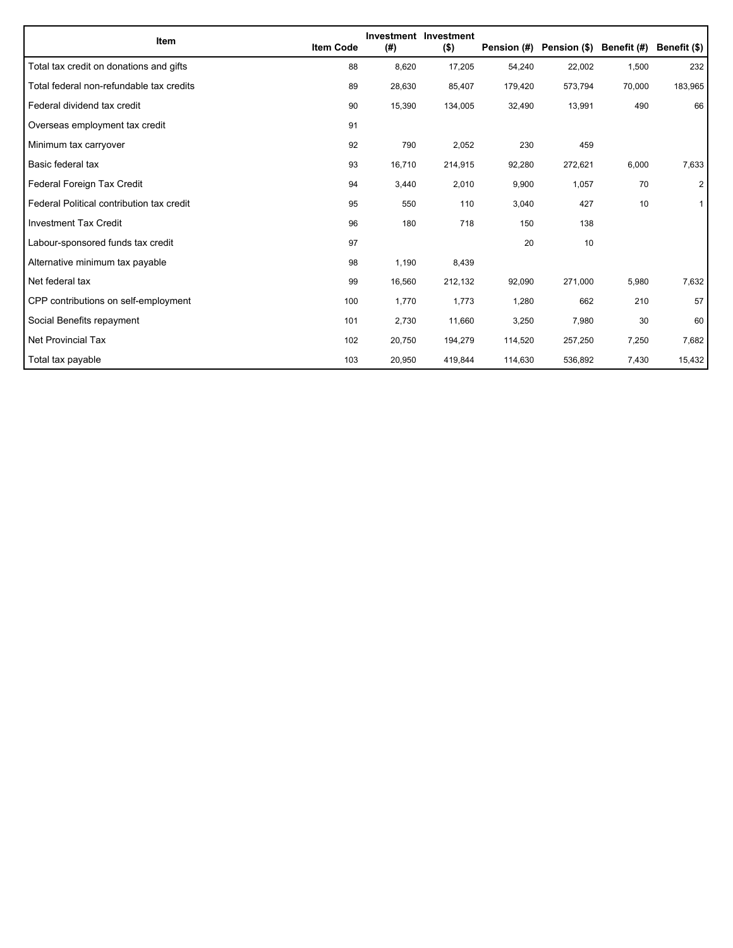| Item                                      | <b>Item Code</b> | (#)    | Investment Investment<br>$($ \$) | Pension (#) | Pension (\$) | Benefit (#) | Benefit (\$) |
|-------------------------------------------|------------------|--------|----------------------------------|-------------|--------------|-------------|--------------|
| Total tax credit on donations and gifts   | 88               | 8,620  | 17,205                           | 54,240      | 22,002       | 1,500       | 232          |
| Total federal non-refundable tax credits  | 89               | 28,630 | 85,407                           | 179,420     | 573,794      | 70,000      | 183,965      |
| Federal dividend tax credit               | 90               | 15,390 | 134,005                          | 32,490      | 13,991       | 490         | 66           |
| Overseas employment tax credit            | 91               |        |                                  |             |              |             |              |
| Minimum tax carryover                     | 92               | 790    | 2,052                            | 230         | 459          |             |              |
| Basic federal tax                         | 93               | 16,710 | 214,915                          | 92,280      | 272,621      | 6,000       | 7,633        |
| Federal Foreign Tax Credit                | 94               | 3,440  | 2,010                            | 9,900       | 1,057        | 70          | 2            |
| Federal Political contribution tax credit | 95               | 550    | 110                              | 3,040       | 427          | 10          | 1            |
| <b>Investment Tax Credit</b>              | 96               | 180    | 718                              | 150         | 138          |             |              |
| Labour-sponsored funds tax credit         | 97               |        |                                  | 20          | 10           |             |              |
| Alternative minimum tax payable           | 98               | 1,190  | 8,439                            |             |              |             |              |
| Net federal tax                           | 99               | 16,560 | 212,132                          | 92,090      | 271,000      | 5,980       | 7,632        |
| CPP contributions on self-employment      | 100              | 1,770  | 1,773                            | 1,280       | 662          | 210         | 57           |
| Social Benefits repayment                 | 101              | 2,730  | 11,660                           | 3,250       | 7,980        | 30          | 60           |
| Net Provincial Tax                        | 102              | 20,750 | 194,279                          | 114,520     | 257,250      | 7,250       | 7,682        |
| Total tax payable                         | 103              | 20,950 | 419,844                          | 114,630     | 536,892      | 7,430       | 15,432       |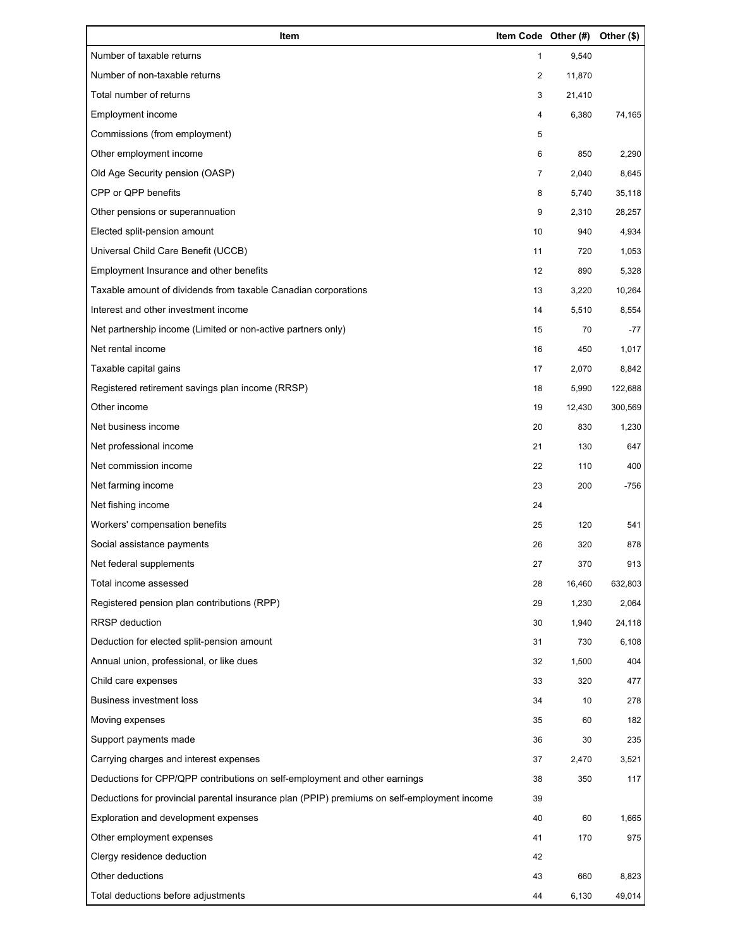| Item                                                                                        | Item Code Other (#) |        | Other (\$) |
|---------------------------------------------------------------------------------------------|---------------------|--------|------------|
| Number of taxable returns                                                                   | 1                   | 9,540  |            |
| Number of non-taxable returns                                                               | 2                   | 11,870 |            |
| Total number of returns                                                                     | 3                   | 21,410 |            |
| Employment income                                                                           | 4                   | 6,380  | 74,165     |
| Commissions (from employment)                                                               | 5                   |        |            |
| Other employment income                                                                     | 6                   | 850    | 2,290      |
| Old Age Security pension (OASP)                                                             | $\overline{7}$      | 2,040  | 8,645      |
| CPP or QPP benefits                                                                         | 8                   | 5,740  | 35,118     |
| Other pensions or superannuation                                                            | 9                   | 2,310  | 28,257     |
| Elected split-pension amount                                                                | 10                  | 940    | 4,934      |
| Universal Child Care Benefit (UCCB)                                                         | 11                  | 720    | 1,053      |
| Employment Insurance and other benefits                                                     | 12                  | 890    | 5,328      |
| Taxable amount of dividends from taxable Canadian corporations                              | 13                  | 3,220  | 10,264     |
| Interest and other investment income                                                        | 14                  | 5,510  | 8,554      |
| Net partnership income (Limited or non-active partners only)                                | 15                  | 70     | $-77$      |
| Net rental income                                                                           | 16                  | 450    | 1,017      |
| Taxable capital gains                                                                       | 17                  | 2,070  | 8,842      |
| Registered retirement savings plan income (RRSP)                                            | 18                  | 5,990  | 122,688    |
| Other income                                                                                | 19                  | 12,430 | 300,569    |
| Net business income                                                                         | 20                  | 830    | 1,230      |
| Net professional income                                                                     | 21                  | 130    | 647        |
| Net commission income                                                                       | 22                  | 110    | 400        |
| Net farming income                                                                          | 23                  | 200    | $-756$     |
| Net fishing income                                                                          | 24                  |        |            |
| Workers' compensation benefits                                                              | 25                  | 120    | 541        |
| Social assistance payments                                                                  | 26                  | 320    | 878        |
| Net federal supplements                                                                     | 27                  | 370    | 913        |
| Total income assessed                                                                       | 28                  | 16,460 | 632,803    |
| Registered pension plan contributions (RPP)                                                 | 29                  | 1,230  | 2,064      |
| RRSP deduction                                                                              | 30                  | 1,940  | 24,118     |
| Deduction for elected split-pension amount                                                  | 31                  | 730    | 6,108      |
| Annual union, professional, or like dues                                                    | 32                  | 1,500  | 404        |
| Child care expenses                                                                         | 33                  | 320    | 477        |
| <b>Business investment loss</b>                                                             | 34                  | 10     | 278        |
| Moving expenses                                                                             | 35                  | 60     | 182        |
| Support payments made                                                                       | 36                  | 30     | 235        |
| Carrying charges and interest expenses                                                      | 37                  | 2,470  | 3,521      |
| Deductions for CPP/QPP contributions on self-employment and other earnings                  | 38                  | 350    | 117        |
| Deductions for provincial parental insurance plan (PPIP) premiums on self-employment income | 39                  |        |            |
| Exploration and development expenses                                                        | 40                  | 60     | 1,665      |
| Other employment expenses                                                                   | 41                  | 170    | 975        |
| Clergy residence deduction                                                                  | 42                  |        |            |
| Other deductions                                                                            | 43                  | 660    | 8,823      |
| Total deductions before adjustments                                                         | 44                  | 6,130  | 49,014     |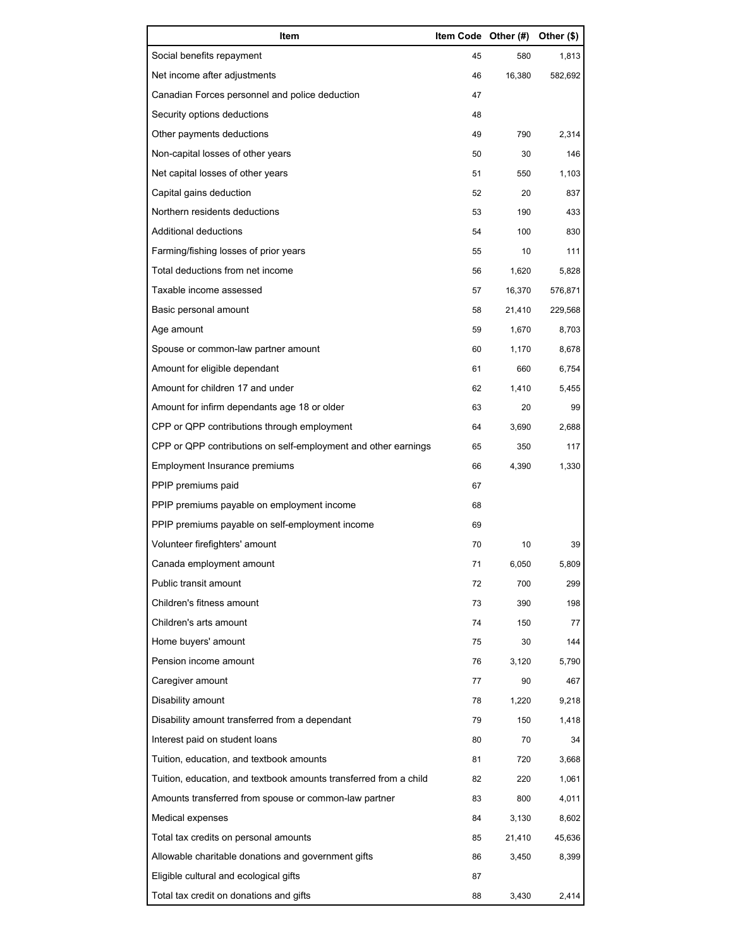| Item                                                              | Item Code Other (#) |        | Other (\$) |
|-------------------------------------------------------------------|---------------------|--------|------------|
| Social benefits repayment                                         | 45                  | 580    | 1,813      |
| Net income after adjustments                                      | 46                  | 16,380 | 582,692    |
| Canadian Forces personnel and police deduction                    | 47                  |        |            |
| Security options deductions                                       | 48                  |        |            |
| Other payments deductions                                         | 49                  | 790    | 2,314      |
| Non-capital losses of other years                                 | 50                  | 30     | 146        |
| Net capital losses of other years                                 | 51                  | 550    | 1,103      |
| Capital gains deduction                                           | 52                  | 20     | 837        |
| Northern residents deductions                                     | 53                  | 190    | 433        |
| Additional deductions                                             | 54                  | 100    | 830        |
| Farming/fishing losses of prior years                             | 55                  | 10     | 111        |
| Total deductions from net income                                  | 56                  | 1,620  | 5,828      |
| Taxable income assessed                                           | 57                  | 16,370 | 576,871    |
| Basic personal amount                                             | 58                  | 21,410 | 229,568    |
| Age amount                                                        | 59                  | 1,670  | 8,703      |
| Spouse or common-law partner amount                               | 60                  | 1,170  | 8,678      |
| Amount for eligible dependant                                     | 61                  | 660    | 6,754      |
| Amount for children 17 and under                                  | 62                  | 1,410  | 5,455      |
| Amount for infirm dependants age 18 or older                      | 63                  | 20     | 99         |
| CPP or QPP contributions through employment                       | 64                  | 3,690  | 2,688      |
| CPP or QPP contributions on self-employment and other earnings    | 65                  | 350    | 117        |
| Employment Insurance premiums                                     | 66                  | 4,390  | 1,330      |
| PPIP premiums paid                                                | 67                  |        |            |
| PPIP premiums payable on employment income                        | 68                  |        |            |
| PPIP premiums payable on self-employment income                   | 69                  |        |            |
| Volunteer firefighters' amount                                    | 70                  | 10     | 39         |
| Canada employment amount                                          | 71                  | 6,050  | 5,809      |
| Public transit amount                                             | 72                  | 700    | 299        |
| Children's fitness amount                                         | 73                  | 390    | 198        |
| Children's arts amount                                            | 74                  | 150    | 77         |
| Home buyers' amount                                               | 75                  | 30     | 144        |
| Pension income amount                                             | 76                  | 3,120  | 5,790      |
| Caregiver amount                                                  | 77                  | 90     | 467        |
| Disability amount                                                 | 78                  | 1,220  | 9,218      |
| Disability amount transferred from a dependant                    | 79                  | 150    | 1,418      |
| Interest paid on student loans                                    | 80                  | 70     | 34         |
| Tuition, education, and textbook amounts                          | 81                  | 720    | 3,668      |
| Tuition, education, and textbook amounts transferred from a child | 82                  | 220    | 1,061      |
| Amounts transferred from spouse or common-law partner             | 83                  | 800    | 4,011      |
| Medical expenses                                                  | 84                  | 3,130  | 8,602      |
| Total tax credits on personal amounts                             | 85                  | 21,410 | 45,636     |
| Allowable charitable donations and government gifts               | 86                  | 3,450  | 8,399      |
| Eligible cultural and ecological gifts                            | 87                  |        |            |
| Total tax credit on donations and gifts                           | 88                  | 3,430  | 2,414      |